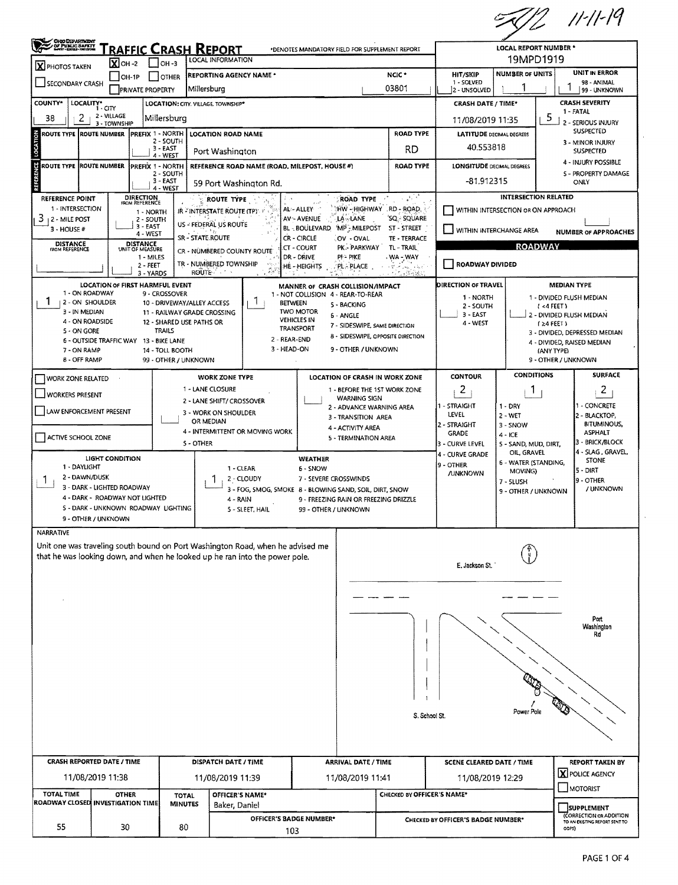$772$  11-11-19

| <b>CHOO DEPARTMENT</b><br>JOF PUNJE SAFETT                                                                                                                    |                                                              |                              |                                           |                                                                   |                                                                                                            |                                        |                                                          | <b>LOCAL REPORT NUMBER *</b>                                                                                                                               |                                                                 |                                                                              |                                   |                                      |  |
|---------------------------------------------------------------------------------------------------------------------------------------------------------------|--------------------------------------------------------------|------------------------------|-------------------------------------------|-------------------------------------------------------------------|------------------------------------------------------------------------------------------------------------|----------------------------------------|----------------------------------------------------------|------------------------------------------------------------------------------------------------------------------------------------------------------------|-----------------------------------------------------------------|------------------------------------------------------------------------------|-----------------------------------|--------------------------------------|--|
| <b>RAFFIC CRASH REPORT</b><br>*DENOTES MANDATORY FIELD FOR SUPPLEMENT REPORT<br>LOCAL INFORMATION<br>$X$ OH -2<br>$ $ $ $ OH -3                               |                                                              |                              |                                           |                                                                   |                                                                                                            |                                        |                                                          |                                                                                                                                                            | 19MPD1919                                                       |                                                                              |                                   |                                      |  |
| X PHOTOS TAKEN                                                                                                                                                |                                                              | $ OH-1P$                     | <b>SCHER</b>                              | <b>REPORTING AGENCY NAME *</b>                                    | HIT/SKIP                                                                                                   | <b>NUMBER OF UNITS</b>                 |                                                          | <b>UNIT IN ERROR</b>                                                                                                                                       |                                                                 |                                                                              |                                   |                                      |  |
| SECONDARY CRASH<br><b>PRIVATE PROPERTY</b>                                                                                                                    |                                                              |                              |                                           | Millersburg                                                       | 03801                                                                                                      | 1 - SOLVED<br>2 - UNSOLVED             |                                                          |                                                                                                                                                            | 98 - ANIMAL<br>99 - UNKNOWN                                     |                                                                              |                                   |                                      |  |
| COUNTY*<br>LOCALITY*                                                                                                                                          | i - CITY                                                     |                              |                                           | LOCATION: CITY. VILLAGE. TOWNSHIP*                                |                                                                                                            |                                        |                                                          |                                                                                                                                                            | <b>CRASH SEVERITY</b><br><b>CRASH DATE / TIME*</b><br>1 - FATAL |                                                                              |                                   |                                      |  |
| 2<br>38                                                                                                                                                       | 2 - VILLAGE<br>3 - TOWNSHIP                                  |                              | Millersburg                               |                                                                   |                                                                                                            |                                        |                                                          |                                                                                                                                                            | 5<br>11/08/2019 11:35                                           |                                                                              |                                   | 2 - SERIOUS INJURY                   |  |
| ROUTE TYPE IROUTE NUMBER                                                                                                                                      |                                                              |                              | <b>PREFIX 1 - NORTH</b><br>2 - SOUTH      | <b>LOCATION ROAD NAME</b>                                         |                                                                                                            |                                        | <b>LATITUDE DECIMAL DEGREES</b>                          |                                                                                                                                                            |                                                                 | <b>SUSPECTED</b>                                                             |                                   |                                      |  |
| LOCATION                                                                                                                                                      |                                                              |                              | 3 - EAST<br>4 - WEST                      | <b>RD</b><br>Port Washington                                      |                                                                                                            |                                        |                                                          |                                                                                                                                                            | 40.553818                                                       |                                                                              |                                   | 3 - MINOR INJURY<br>SUSPECTED        |  |
| ROUTE TYPE ROUTE NUMBER                                                                                                                                       |                                                              | <b>IPREFIX 1 - NORTH</b>     |                                           | REFERENCE ROAD NAME (ROAD, MILEPOST, HOUSE #)<br><b>ROAD TYPE</b> |                                                                                                            |                                        |                                                          |                                                                                                                                                            | <b>LONGITUDE DECIMAL DEGREES</b>                                |                                                                              |                                   | 4 - INJURY POSSIBLE                  |  |
| REFERENCE                                                                                                                                                     |                                                              |                              | 2 - SOUTH<br>3-EAST                       |                                                                   | 59 Port Washington Rd.                                                                                     |                                        |                                                          |                                                                                                                                                            |                                                                 | -81.912315                                                                   |                                   | 5 - PROPERTY DAMAGE<br>ONLY          |  |
| 4 - WEST<br><b>DIRECTION</b><br>FROM REFERENCE<br>REFERENCE POINT<br>ROUTE TYPE                                                                               |                                                              |                              |                                           |                                                                   |                                                                                                            |                                        | <b>ROAD TYPE</b>                                         | -150                                                                                                                                                       |                                                                 | <b>INTERSECTION RELATED</b>                                                  |                                   |                                      |  |
| 1 - INTERSECTION                                                                                                                                              |                                                              | 1 - NORTH                    |                                           | IR "INTERSTATE ROUTE (TP)" F                                      |                                                                                                            | AL-ALLEY                               | HW-HIGHWAY RD-ROAD,                                      |                                                                                                                                                            | WITHIN INTERSECTION OR ON APPROACH                              |                                                                              |                                   |                                      |  |
| 3<br>12 - MILE POST<br>$3 - HOUSE #$                                                                                                                          |                                                              | 2 - SOUTH<br>3 - EAST        |                                           | US - FEDERAL US ROUTE                                             |                                                                                                            | AV ~ AVENUE                            | LA - LANE<br>BL-BOULEVARD MP-MILEPOST                    | 'SQ - SQUARE<br>ST - STREET                                                                                                                                | WITHIN INTERCHANGE AREA                                         |                                                                              |                                   |                                      |  |
| <b>DISTANCE</b>                                                                                                                                               |                                                              | 4 - WEST<br><b>DISTANCE</b>  |                                           | SR - STATE ROUTE                                                  |                                                                                                            | CR - CIRCLE                            | OV - OVAL                                                | TE - TERRACE                                                                                                                                               |                                                                 |                                                                              |                                   | <b>NUMBER OF APPROACHES</b>          |  |
| <b>FROM REFERENCE</b>                                                                                                                                         |                                                              | UNIT OF MEASURE<br>1 - MILES |                                           | CR - NÜMBERED COUNTY ROUTE                                        |                                                                                                            | CT - COURT<br>DR - DRIVE               | PK - PARKWAY<br>PI- PIKE                                 | TL - TRAIL<br>WA - WAY                                                                                                                                     |                                                                 | <b>ROADWAY</b>                                                               |                                   |                                      |  |
|                                                                                                                                                               |                                                              | 2 - FEET<br>3 - YARDS        |                                           | TR - NUMBERED TOWNSHIP<br><b>ROUTE</b>                            |                                                                                                            | :HE - HEIGHTS                          | pl place .                                               | $\left\{ \left\langle \mathbf{Y}^{\prime},\mathbf{r}^{\prime}\right\rangle _{0}\right\} _{0}\leq\left\{ \left\langle \mathbf{r}\right\rangle _{0}\right\}$ | <b>ROADWAY DIVIDED</b>                                          |                                                                              |                                   |                                      |  |
|                                                                                                                                                               |                                                              |                              | <b>LOCATION OF FIRST HARMFUL EVENT</b>    |                                                                   |                                                                                                            |                                        | MANNER OF CRASH COLLISION/IMPACT                         |                                                                                                                                                            | DIRECTION OF TRAVEL                                             |                                                                              | <b>MEDIAN TYPE</b>                |                                      |  |
| 1 - ON ROADWAY<br>1<br>2 - ON SHOULDER                                                                                                                        |                                                              |                              | 9 - CROSSOVER                             | 10 - DRIVEWAY/ALLEY ACCESS                                        | Ŧ                                                                                                          | <b>BETWEEN</b>                         | 1 - NOT COLLISION 4 - REAR-TO-REAR<br>5 - BACKING        |                                                                                                                                                            | 1 - NORTH                                                       |                                                                              |                                   | 1 - DIVIDED FLUSH MEDIAN             |  |
| 3 - IN MEDIAN                                                                                                                                                 |                                                              |                              |                                           | 11 - RAILWAY GRADE CROSSING                                       |                                                                                                            | <b>TWO MOTOR</b><br><b>VEHICLES IN</b> | 6 - ANGLE                                                |                                                                                                                                                            | 2 - SOUTH<br>$3 - EAST$                                         |                                                                              | (4FEE)                            | 2 - DIVIDED FLUSH MEDIAN             |  |
| 4 - ON ROADSIDE<br>5 - ON GORE                                                                                                                                |                                                              |                              | 12 - SHARED USE PATHS OR<br><b>TRAILS</b> |                                                                   |                                                                                                            | TRANSPORT                              | 7 - SIDESWIPE, SAME DIRECTION                            |                                                                                                                                                            | 4 - WEST                                                        |                                                                              | $24$ FEET)                        | 3 - DIVIDED, DEPRESSED MEDIAN        |  |
|                                                                                                                                                               | 6 - OUTSIDE TRAFFIC WAY 13 - BIKE LANE                       |                              |                                           |                                                                   | 2 - REAR-END<br>3 - HEAD-ON                                                                                |                                        | 8 - SIDESWIPE, OPPOSITE DIRECTION<br>9 - OTHER / UNKNOWN |                                                                                                                                                            |                                                                 |                                                                              |                                   | 4 - DIVIDED, RAISED MEDIAN           |  |
| 7 - ON RAMP<br><b>B - OFF RAMP</b>                                                                                                                            |                                                              |                              | 14 - TOLL BOOTH<br>99 - OTHER / UNKNOWN   |                                                                   |                                                                                                            |                                        |                                                          |                                                                                                                                                            |                                                                 |                                                                              | (ANY TYPE)<br>9 - OTHER / UNKNOWN |                                      |  |
| WORK ZONE RELATED                                                                                                                                             |                                                              |                              |                                           | <b>WORK ZONE TYPE</b>                                             |                                                                                                            |                                        | LOCATION OF CRASH IN WORK ZONE                           |                                                                                                                                                            | <b>CONTOUR</b>                                                  | <b>CONDITIONS</b>                                                            |                                   | <b>SURFACE</b>                       |  |
| <b>WORKERS PRESENT</b>                                                                                                                                        |                                                              |                              |                                           | 1 - LANE CLOSURE                                                  | 1 - BEFORE THE 1ST WORK ZONE                                                                               |                                        |                                                          |                                                                                                                                                            |                                                                 | -1                                                                           |                                   | 2                                    |  |
|                                                                                                                                                               |                                                              |                              |                                           | 2 - LANE SHIFT/ CROSSOVER                                         |                                                                                                            |                                        | <b>WARNING SIGN</b>                                      | 1 - STRAIGHT<br>2 - ADVANCE WARNING AREA                                                                                                                   |                                                                 |                                                                              |                                   | - CONCRETE                           |  |
| LAW ENFORCEMENT PRESENT                                                                                                                                       |                                                              |                              |                                           | 3 - WORK ON SHOULDER<br>OR MEDIAN                                 |                                                                                                            |                                        | 3 - TRANSITION AREA                                      |                                                                                                                                                            | LEVEL<br>2 - STRAIGHT                                           | $2 - WET$                                                                    |                                   | 2 - BLACKTOP,<br><b>BITUMINOUS,</b>  |  |
| ACTIVE SCHOOL ZONE                                                                                                                                            |                                                              |                              |                                           |                                                                   | 4 - INTERMITTENT OR MOVING WORK                                                                            |                                        | 4 - ACTIVITY AREA<br>5 - TERMINATION AREA                |                                                                                                                                                            | <b>GRADE</b>                                                    | 3 - SNOW<br>4 - ICE                                                          |                                   | <b>ASPHALT</b>                       |  |
|                                                                                                                                                               |                                                              |                              |                                           | S - OTHER                                                         |                                                                                                            |                                        |                                                          |                                                                                                                                                            | 3 - CURVE LEVEL<br>4 - CURVE GRADE                              | 5 - SAND, MUD, DIRT,<br>OIL, GRAVEL                                          |                                   | 3 - BRICK/BLOCK<br>4 - SLAG, GRAVEL, |  |
| 1 - DAYLIGHT                                                                                                                                                  | <b>LIGHT CONDITION</b>                                       |                              |                                           |                                                                   | 1 - CLEAR                                                                                                  | <b>WEATHER</b><br>6 - SNOW             |                                                          |                                                                                                                                                            | 19 - OTHER                                                      | 6 - WATER (STANDING,                                                         |                                   | <b>STONE</b>                         |  |
| 2 - DAWN/DUSK<br>$\mathbf{I}$                                                                                                                                 |                                                              |                              |                                           |                                                                   | 2 - CLOUDY                                                                                                 | 7 - SEVERE CROSSWINDS                  |                                                          |                                                                                                                                                            | <b>JUNKNOWN</b>                                                 | MOVING)<br>7 - SLUSH                                                         |                                   | 5 - DIRT<br>9 - OTHER                |  |
|                                                                                                                                                               | 3 - DARK - LIGHTED ROADWAY<br>4 - DARK - ROADWAY NOT LIGHTED |                              |                                           |                                                                   | 3 - FOG, SMOG, SMOKE 8 - BLOWING SAND, SOIL, DIRT, SNOW<br>9 - FREEZING RAIN OR FREEZING DRIZZLE<br>4 RAIN |                                        |                                                          |                                                                                                                                                            |                                                                 | 9 - OTHER / UNKNOWN                                                          |                                   | / UNKNOWN                            |  |
|                                                                                                                                                               |                                                              |                              | 5 - DARK - UNKNOWN ROADWAY LIGHTING       |                                                                   | 5 - SLEET, HAIL                                                                                            | 99 - OTHER / UNKNOWN                   |                                                          |                                                                                                                                                            |                                                                 |                                                                              |                                   |                                      |  |
|                                                                                                                                                               | 9 - OTHER / UNKNOWN                                          |                              |                                           |                                                                   |                                                                                                            |                                        |                                                          |                                                                                                                                                            |                                                                 |                                                                              |                                   |                                      |  |
| NARRATIVE                                                                                                                                                     |                                                              |                              |                                           |                                                                   |                                                                                                            |                                        |                                                          |                                                                                                                                                            |                                                                 |                                                                              |                                   |                                      |  |
| Unit one was traveling south bound on Port Washington Road, when he advised me<br>that he was looking down, and when he looked up he ran into the power pole. |                                                              |                              |                                           |                                                                   |                                                                                                            |                                        |                                                          |                                                                                                                                                            |                                                                 |                                                                              |                                   |                                      |  |
|                                                                                                                                                               |                                                              |                              |                                           |                                                                   |                                                                                                            |                                        |                                                          |                                                                                                                                                            | E. Jackson St.                                                  |                                                                              |                                   |                                      |  |
|                                                                                                                                                               |                                                              |                              |                                           |                                                                   |                                                                                                            |                                        |                                                          |                                                                                                                                                            |                                                                 |                                                                              |                                   |                                      |  |
|                                                                                                                                                               |                                                              |                              |                                           |                                                                   |                                                                                                            |                                        |                                                          |                                                                                                                                                            |                                                                 |                                                                              |                                   |                                      |  |
|                                                                                                                                                               |                                                              |                              |                                           |                                                                   |                                                                                                            |                                        |                                                          |                                                                                                                                                            |                                                                 |                                                                              |                                   | Port                                 |  |
|                                                                                                                                                               |                                                              |                              |                                           |                                                                   |                                                                                                            |                                        |                                                          |                                                                                                                                                            |                                                                 |                                                                              |                                   | Washington<br>Rd                     |  |
|                                                                                                                                                               |                                                              |                              |                                           |                                                                   |                                                                                                            |                                        |                                                          |                                                                                                                                                            |                                                                 |                                                                              |                                   |                                      |  |
|                                                                                                                                                               |                                                              |                              |                                           |                                                                   |                                                                                                            |                                        |                                                          |                                                                                                                                                            |                                                                 |                                                                              |                                   |                                      |  |
|                                                                                                                                                               |                                                              |                              |                                           |                                                                   |                                                                                                            |                                        |                                                          |                                                                                                                                                            |                                                                 |                                                                              |                                   |                                      |  |
|                                                                                                                                                               |                                                              |                              |                                           |                                                                   |                                                                                                            |                                        |                                                          |                                                                                                                                                            |                                                                 |                                                                              |                                   |                                      |  |
|                                                                                                                                                               |                                                              |                              |                                           |                                                                   |                                                                                                            |                                        |                                                          |                                                                                                                                                            |                                                                 |                                                                              |                                   |                                      |  |
|                                                                                                                                                               |                                                              |                              |                                           |                                                                   |                                                                                                            |                                        |                                                          | S. School St.                                                                                                                                              |                                                                 | Power Pole                                                                   |                                   |                                      |  |
|                                                                                                                                                               |                                                              |                              |                                           |                                                                   |                                                                                                            |                                        |                                                          |                                                                                                                                                            |                                                                 |                                                                              |                                   |                                      |  |
|                                                                                                                                                               |                                                              |                              |                                           |                                                                   |                                                                                                            |                                        |                                                          |                                                                                                                                                            |                                                                 |                                                                              |                                   |                                      |  |
| <b>CRASH REPORTED DATE / TIME</b>                                                                                                                             |                                                              |                              |                                           | DISPATCH DATE / TIME<br><b>ARRIVAL DATE / TIME</b>                |                                                                                                            |                                        |                                                          | <b>SCENE CLEARED DATE / TIME</b>                                                                                                                           |                                                                 |                                                                              | <b>REPORT TAKEN BY</b>            |                                      |  |
|                                                                                                                                                               | 11/08/2019 11:38                                             |                              |                                           | 11/08/2019 11:39                                                  |                                                                                                            |                                        | 11/08/2019 11:41                                         |                                                                                                                                                            | 11/08/2019 12:29                                                |                                                                              |                                   | <b>X</b> POLICE AGENCY               |  |
| <b>TOTAL TIME</b><br>ROADWAY CLOSED INVESTIGATION TIME                                                                                                        |                                                              | <b>OTHER</b>                 | <b>TOTAL</b>                              | OFFICER'S NAME*                                                   |                                                                                                            |                                        |                                                          | CHECKED BY OFFICER'S NAME*                                                                                                                                 |                                                                 |                                                                              |                                   | MOTORIST                             |  |
|                                                                                                                                                               |                                                              |                              | <b>MINUTES</b>                            | Baker, Daniel                                                     |                                                                                                            |                                        |                                                          | SUPPLEMENT                                                                                                                                                 |                                                                 |                                                                              |                                   | (CORRECTION OR ADDITION              |  |
| 55                                                                                                                                                            |                                                              | 30                           | 80                                        |                                                                   | OFFICER'S BADGE NUMBER*<br>103                                                                             |                                        |                                                          |                                                                                                                                                            |                                                                 | CHECKED BY OFFICER'S BADGE NUMBER*<br>TO AN EXISTING REPORT SENT TO<br>ODPS) |                                   |                                      |  |
|                                                                                                                                                               |                                                              |                              |                                           |                                                                   |                                                                                                            |                                        |                                                          |                                                                                                                                                            |                                                                 |                                                                              |                                   |                                      |  |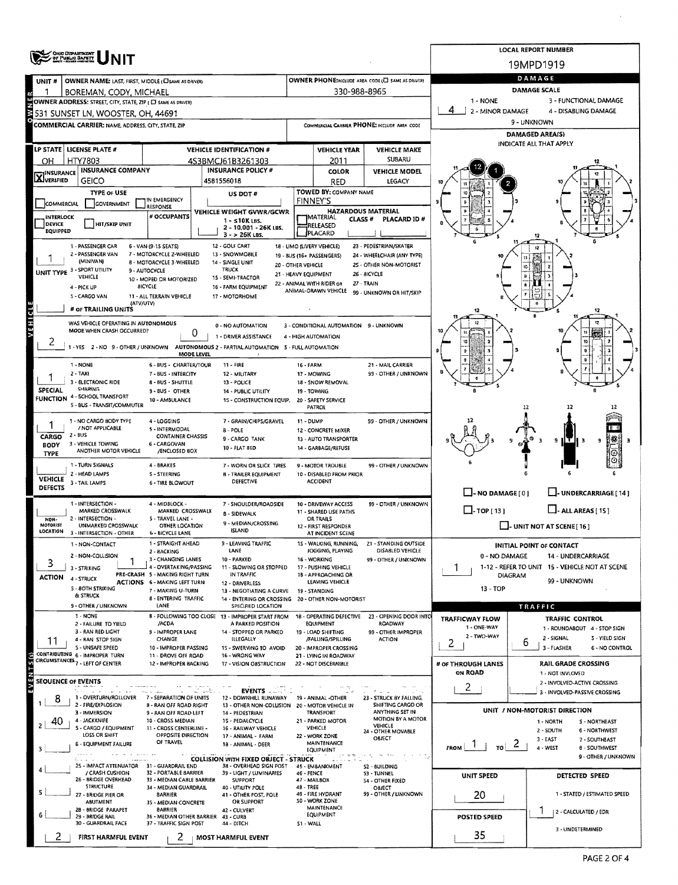|                             | <b>ONG DEPARTMENT</b><br>UF PUBLIC GAFETT                                                        |                                                                        | <b>LOCAL REPORT NUMBER</b>                                                     |                      |                                                         |                                                      |                                                   |                                                          |  |  |  |  |
|-----------------------------|--------------------------------------------------------------------------------------------------|------------------------------------------------------------------------|--------------------------------------------------------------------------------|----------------------|---------------------------------------------------------|------------------------------------------------------|---------------------------------------------------|----------------------------------------------------------|--|--|--|--|
|                             |                                                                                                  |                                                                        | 19MPD1919                                                                      |                      |                                                         |                                                      |                                                   |                                                          |  |  |  |  |
| UNIT#                       | OWNER NAME: LAST, FIRST, MIDDLE (CI SAME AS DRIVER)                                              |                                                                        |                                                                                |                      |                                                         | OWNER PHONE:INCLUDE AREA CODE (C) SAME AS DRIVER!    | DAMAGE                                            |                                                          |  |  |  |  |
|                             | BOREMAN, CODY, MICHAEL                                                                           |                                                                        |                                                                                |                      | 330-988-8965                                            |                                                      | DAMAGE SCALE<br>1 - NONE<br>3 - FUNCTIONAL DAMAGE |                                                          |  |  |  |  |
|                             | OWNER ADDRESS: STREET, CITY, STATE, ZIP ( C SAME AS DRIVER)<br>531 SUNSET LN, WOOSTER, OH, 44691 |                                                                        |                                                                                |                      |                                                         |                                                      | 4<br>2 - MINOR DAMAGE                             | 4 - DISABLING DAMAGE                                     |  |  |  |  |
|                             | COMMERCIAL CARRIER: NAME, ADDRESS, CITY, STATE, ZIP                                              |                                                                        |                                                                                |                      |                                                         | COMMERCIAL CARRIER PHONE: INCLUDE AREA CODE          |                                                   | 9 - UNKNOWN                                              |  |  |  |  |
|                             |                                                                                                  |                                                                        |                                                                                |                      |                                                         |                                                      |                                                   | <b>DAMAGED AREA(5)</b>                                   |  |  |  |  |
|                             | LP STATE   LICENSE PLATE #                                                                       |                                                                        | <b>VEHICLE IDENTIFICATION #</b>                                                |                      | <b>VEHICLE YEAR</b>                                     | <b>VEHICLE MAKE</b>                                  |                                                   | INDICATE ALL THAT APPLY                                  |  |  |  |  |
| OН                          | HTY7803                                                                                          |                                                                        | 4S3BMCJ61B3261303                                                              |                      | 2011                                                    | <b>SUBARU</b>                                        |                                                   |                                                          |  |  |  |  |
| <b>X</b> INSURANCE          | <b>INSURANCE COMPANY</b>                                                                         |                                                                        | <b>INSURANCE POLICY #</b>                                                      |                      | COLOR                                                   | <b>VEHICLE MODEL</b>                                 |                                                   |                                                          |  |  |  |  |
|                             | <b>GEICO</b>                                                                                     |                                                                        | 4581556018                                                                     |                      | RED                                                     | LEGACY                                               |                                                   |                                                          |  |  |  |  |
| COMMERCIAL                  | <b>TYPE OF USE</b><br>GOVERNMENT                                                                 | IN EMERGENCY                                                           | US DOT#                                                                        |                      | <b>TOWED BY: COMPANY NAME</b><br><b>FINNEY'S</b>        |                                                      |                                                   |                                                          |  |  |  |  |
|                             |                                                                                                  | RESPONSE<br># OCCUPANTS                                                | VEHICLE WEIGHT GVWR/GCWR                                                       |                      |                                                         | <b>HAZARDOUS MATERIAL</b>                            |                                                   |                                                          |  |  |  |  |
| <b>INTERLOCK</b><br>DEVICE  | <b>HIT/SKIP UNIT</b>                                                                             |                                                                        | $1 - 510K$ LBS.<br>2 - 10,001 - 26K LBS.                                       |                      | MATERIAL<br>CLASS <sup>#</sup><br>RELEASED              | PLACARD ID#                                          |                                                   |                                                          |  |  |  |  |
| <b>EQUIPPED</b>             |                                                                                                  |                                                                        | $3 - 26K$ LBS.                                                                 |                      | PLACARD                                                 |                                                      |                                                   |                                                          |  |  |  |  |
|                             | 1 - PASSENGER CAR<br>2 - PASSENGER VAN                                                           | 6 - VAN (9-15 SEATS)<br>7 - MOTORCYCLE 2-WHEELED                       | 12 - GOLF CART<br>13 - SNOWMOBILE                                              |                      | 18 - LIMO (LIVERY VEHICLE)<br>19 - BUS (16+ PASSENGERS) | 23 - PEDESTRIAN/SKATER<br>24 - WHEELCHAIR (ANY TYPE) |                                                   | 12                                                       |  |  |  |  |
|                             | (MINIVAN)                                                                                        | 8 - MOTORCYCLE 3-WHEELED                                               | 14 - SINGLE UNIT                                                               | 20 - OTHER VEHICLE   |                                                         | 25 - OTHER NON-MOTORIST                              | 10 <sub>1</sub>                                   |                                                          |  |  |  |  |
|                             | UNIT TYPE 3 - SPORT UTILITY<br>VEHICLE                                                           | 9 - AUTOCYCLE<br>10 - MOPED OR MOTORIZED                               | TRUCK<br>15 - SEMI-TRACTOR                                                     | 21 - HEAVY EQUIPMENT |                                                         | 26 - BICYCLE                                         |                                                   |                                                          |  |  |  |  |
|                             | 4 - PICK UP                                                                                      | <b>BICYCLE</b>                                                         | 16 - FARM EQUIPMENT                                                            |                      | 22 - ANIMAL WITH RIDER OR<br>ANIMAL-DRAWN VEHICLE       | 27 - TRAIN<br>99 - UNKNOWN OR HIT/SKIP               |                                                   |                                                          |  |  |  |  |
|                             | 5 - CARGO VAN<br>(ATV/UTV)                                                                       | 11 - ALL TERRAIN VEHICLE                                               | 17 - MOTORHOME                                                                 |                      |                                                         |                                                      |                                                   |                                                          |  |  |  |  |
|                             | # or TRAILING UNITS                                                                              |                                                                        |                                                                                |                      |                                                         |                                                      | 12                                                | 12                                                       |  |  |  |  |
|                             | WAS VEHICLE OPERATING IN AUTONOMOUS<br>MODE WHEN CRASH OCCURRED?                                 |                                                                        | 0 - NO AUTOMATION                                                              |                      | 3 - CONDITIONAL AUTOMATION 9 - UNKNOWN                  |                                                      |                                                   |                                                          |  |  |  |  |
| 2                           |                                                                                                  | 0                                                                      | 1 - DRIVER ASSISTANCE                                                          |                      | 4 - HIGH AUTOMATION                                     |                                                      |                                                   | 10                                                       |  |  |  |  |
|                             | 1-YES 2-NO 9-OTHER/UNKNOWN                                                                       | <b>MODE LEVEL</b>                                                      | AUTONOMOUS 2 - PARTIAL AUTOMATION 5 - FULL AUTOMATION                          |                      |                                                         |                                                      | ð                                                 |                                                          |  |  |  |  |
|                             | 1 - NONE                                                                                         | 6 - BUS - CHARTER/TOUR                                                 | $11 - FIRE$                                                                    | 16 - FARM            |                                                         | 21 - MAIL CARRIER                                    |                                                   | 8                                                        |  |  |  |  |
|                             | $2 - TAX1$<br>3 - ELECTRONIC RIDE                                                                | 7 - BUS - INTERCITY                                                    | 12 - MILITARY                                                                  |                      | 17 - MOWING                                             | 99 - OTHER / UNKNOWN                                 |                                                   |                                                          |  |  |  |  |
| <b>SPECIAL</b>              | SHARING                                                                                          | 8 - BUS - SHUTTLE<br>9-BUS - OTHER                                     | 13 - POLICE<br>14 - PUBLIC UTILITY                                             |                      | 18 - SNOW REMOVAL<br>19 - TOWING                        |                                                      |                                                   |                                                          |  |  |  |  |
|                             | <b>FUNCTION 4 - SCHOOL TRANSPORT</b><br>5 - BUS - TRANSIT/COMMUTER                               | 10 - AMBULANCE                                                         | 15 - CONSTRUCTION EQUIP. 20 - SAFETY SERVICE                                   |                      |                                                         |                                                      |                                                   |                                                          |  |  |  |  |
|                             |                                                                                                  |                                                                        |                                                                                |                      | <b>PATROL</b>                                           |                                                      |                                                   | 12<br>12<br>12                                           |  |  |  |  |
|                             | 1 - NO CARGO BODY TYPE<br>/ NOT APPLICABLE                                                       | 4 - LOGGING<br>5 - INTERMODAL                                          | 7 - GRAIN/CHIPS/GRAVEL<br>8 - POLE                                             | 11 - DUMP            | 12 - CONCRETE MIXER                                     | 99 - OTHER / UNKNOWN                                 |                                                   |                                                          |  |  |  |  |
| CARGO                       | $2 - BUS$<br>3 - VEHICLE TOWING                                                                  | <b>CONTAINER CHASSIS</b><br>6 - CARGOVAN                               | 9 - CARGO TANK                                                                 |                      | 13 - AUTO TRANSPORTER                                   |                                                      |                                                   | ٠<br>₩.<br>९ ॥ र<br>3<br>9<br>- 3<br>eś                  |  |  |  |  |
| <b>BODY</b><br>TYPE         | ANOTHER MOTOR VEHICLE                                                                            | /ENCLOSED 8OX                                                          | 10 - FLAT BED                                                                  |                      | 14 - GARBAGE/REFUSE                                     |                                                      |                                                   | $\odot$                                                  |  |  |  |  |
|                             | 1 TURN SIGNALS                                                                                   | 4 - BRAKES                                                             | 7 - WORN OR SLICK TIRES                                                        |                      | 9 - MOTOR TROUBLE                                       | 99 - OTHER / UNKNOWN                                 |                                                   | ٥                                                        |  |  |  |  |
| VEHICLE                     | 2 - HEAD LAMPS                                                                                   | S - STEERING                                                           | <b>B - TRAILER EQUIPMENT</b><br>DEFECTIVE                                      |                      | 10 - DISABLED FROM PRIOR<br><b>ACCIDENT</b>             |                                                      |                                                   |                                                          |  |  |  |  |
| <b>DEFECTS</b>              | 3 - TAIL LAMPS                                                                                   | <b>6 - TIRE BLOWOUT</b>                                                |                                                                                |                      |                                                         |                                                      | $\Box$ -NO DAMAGE[0]                              | J- UNDERCARRIAGE [ 14 ]                                  |  |  |  |  |
|                             | 1 - INTERSECTION -                                                                               | 4 - MIDBLOCK -                                                         | 7 - SHOULDER/ROADSIDE                                                          |                      | 10 - DRIVEWAY ACCESS                                    | 99 - OTHER / UNKNOWN                                 |                                                   |                                                          |  |  |  |  |
| NON-                        | MARKED CROSSWALK<br>2 - INTERSECTION -                                                           | MARKED CROSSWALK<br>5 - TRAVEL LANE -                                  | <b>B-SIDEWALK</b>                                                              |                      | 11 - SHARED USE PATHS<br>OR TRAILS                      |                                                      | $\Box$ -TOP(13)                                   | $\Box$ - ALL AREAS [15]                                  |  |  |  |  |
| <b>MOTORIST</b><br>LOCATION | UNMARKED CROSSWALK<br>3 - INTERSECTION - OTHER                                                   | OTHER LOCATION<br><b>6 - BICYCLE LANE</b>                              | 9 - MEDIAN/CROSSING<br><b>ISLAND</b>                                           |                      | 12 - FIRST RESPONDER                                    |                                                      |                                                   | $L$ - UNIT NOT AT SCENE [16]                             |  |  |  |  |
|                             | 1 - NON-CONTACT                                                                                  | 1 - STRAIGHT AHEAD                                                     | 9 - LEAVING TRAFFIC                                                            |                      | AT INCIDENT SCENE<br>1S - WALKING, RUNNING,             | 21 - STANDING OUTSIDE                                |                                                   | INITIAL POINT OF CONTACT                                 |  |  |  |  |
|                             | 2 - NON-COLLISION                                                                                | 2 - BACKING                                                            | LANE                                                                           |                      | JOGGING, PLAYING                                        | DISABLED VEHICLE                                     | 0 - NO DAMAGE                                     | 14 - UNDERCARRIAGE                                       |  |  |  |  |
| 3                           | 3 - STRIKING                                                                                     | 3 - CHANGING LANES<br>4 - OVERTAKING/PASSING                           | 10 - PARKED<br>11 - SLOWING OR STOPPED                                         |                      | 16 - WORKING<br>17 - PUSHING VEHICLE                    | 99 - OTHER / UNKNOWN                                 | 1                                                 | 1-12 - REFER TO UNIT 15 - VEHICLE NOT AT SCENE           |  |  |  |  |
| <b>ACTION</b>               | 4 - STRUCK                                                                                       | PRE-CRASH 5 - MAKING RIGHT TURN<br><b>ACTIONS 6 - MAKING LEFT TURN</b> | IN TRAFFIC                                                                     |                      | 18 - APPROACHING OR<br>LEAVING VEHICLE                  |                                                      | <b>DIAGRAM</b>                                    | 99 - UNKNOWN                                             |  |  |  |  |
|                             | 5 - 80TH STRIKING<br><b>&amp; STRUCK</b>                                                         | 7 - MAKING U-TURN                                                      | 12 - DRIVERLESS<br>13 - NEGOTIATING A CURVE                                    |                      | 19 - STANDING                                           |                                                      | 13 - TOP                                          |                                                          |  |  |  |  |
|                             | 9 - OTHER / UNKNOWN                                                                              | <b>8 - ENTERING TRAFFIC</b><br>LANE                                    | 14 - ENTERING OR CROSSING 20 - OTHER NON-MOTORIST<br><b>SPECIFIED LOCATION</b> |                      |                                                         |                                                      |                                                   | <b>TRAFFIC</b>                                           |  |  |  |  |
|                             | 1 - NONE                                                                                         |                                                                        | B - FOLLOWING TOO CLOSE 13 - IMPROPER START FROM                               |                      | 18 - OPERATING DEFECTIVE                                | 23 - OPENING DOOR INTO                               | <b>TRAFFICWAY FLOW</b>                            | TRAFFIC CONTROL                                          |  |  |  |  |
|                             | 2 - FAILURE TO YIELD<br>3 - RAN RED LIGHT                                                        | /ACDA<br>9 - IMPROPER LANE                                             | A PARKED POSITION<br>14 - STOPPED OR PARKED                                    |                      | <b>EQUIPMENT</b><br>19 - LOAD SHIFTING                  | ROADWAY<br>99 - OTHER IMPROPER                       | 1 - ONE-WAY                                       | 1 - ROUNDABOUT 4 - STOP SIGN                             |  |  |  |  |
| 11                          | 4 - RAN STOP SIGN                                                                                | CHANGE                                                                 | ILLEGALLY                                                                      |                      | /FALLING/SPILLING                                       | <b>ACTION</b>                                        | 2 - TWO-WAY<br>2                                  | 2 - SIGNAL<br>5 - YIELD SIGN<br>6                        |  |  |  |  |
|                             | 5 - UNSAFE SPEED<br>CONTRIBUTING 6 - IMPROPER TURN                                               | 10 - IMPROPER PASSING<br>11 - DROVE OFF ROAD                           | 15 - SWERVING TO AVOID<br>16 - WRONG WAY                                       |                      | 20 - IMPROPER CROSSING<br>21 - LYING IN ROADWAY         |                                                      |                                                   | 3 - FLASHER<br>6 - NO CONTROL                            |  |  |  |  |
|                             | CIRCUMSTANCES 7 - LEFT OF CENTER                                                                 | 12 - IMPROPER BACKING                                                  | 17 - VISION OBSTRUCTION                                                        |                      | 22 - NOT DISCERNIBLE                                    |                                                      | # OF THROUGH LANES                                | RAIL GRADE CROSSING                                      |  |  |  |  |
|                             | <b>SEQUENCE OF EVENTS</b>                                                                        |                                                                        |                                                                                |                      |                                                         |                                                      | ON ROAD                                           | 1 - NOT INVLOVED<br>2 - INVOLVED-ACTIVE CROSSING         |  |  |  |  |
|                             |                                                                                                  |                                                                        | <b>EVENTS</b><br>ವ ಎನ್                                                         |                      |                                                         | $\mathbf{r}$ and $\mathbf{r}$<br>$\sim$              | 2                                                 | 3 - INVOLVED-PASSIVE CROSSING                            |  |  |  |  |
| 8                           | 1 - OVERTURN/ROLLOVER<br>2 - FIRE/EXPLOSION                                                      | 7 - SEPARATION OF UNITS<br><b>B - RAN OFF ROAD RIGHT</b>               | 12 - DOWNHILL RUNAWAY<br>13 - OTHER NON-COLLISION                              |                      | 19 - ANIMAL -OTHER<br>20 - MOTOR VEHICLE IN             | 23 - STRUCK 8Y FALLING,<br>SHIFTING CARGO OR         |                                                   |                                                          |  |  |  |  |
|                             | 3 - IMMERSION<br>4 - JACKKNIFE                                                                   | 9 - RAN OFF ROAD LEFT<br>10 - CROSS MEDIAN                             | 14 - PEDESTRIAN<br>1S - PEDALCYCLE                                             |                      | TRANSPORT<br>21 - PARKED MOTOR                          | ANYTHING SET IN<br>MOTION BY A MOTOR                 |                                                   | UNIT / NON-MOTORIST DIRECTION                            |  |  |  |  |
| 40                          | 5 - CARGO / EQUIPMENT                                                                            | 11 - CROSS CENTERLINE -                                                | 16 - RAILWAY VEHICLE                                                           |                      | VEHICLE                                                 | VEHICLE<br>24 - OTHER MOVABLE                        |                                                   | 1 - NORTH<br>S - NORTHEAST<br>2 - SOUTH<br>6 - NORTHWEST |  |  |  |  |
|                             | LOSS OR SHIFT<br><b>6 - EQUIPMENT FAILURE</b>                                                    | OPPOSITE DIRECTION<br>OF TRAVEL                                        | 17 - ANIMAL - FARM<br>18 - ANIMAL - DEER                                       |                      | 22 - WORK ZONE<br>MAINTENANCE                           | OBJECT                                               |                                                   | $3 - EAST$<br>7 - SOUTHEAST<br>$\epsilon$                |  |  |  |  |
|                             |                                                                                                  |                                                                        |                                                                                |                      | <b>EQUIPMENT</b>                                        |                                                      | <b>FROM</b><br>TO.                                | 4 - WEST<br>8 - SOUTHWEST<br>9 - OTHER / UNKNOWN         |  |  |  |  |
|                             | بالمالميك<br>25 - IMPACT ATTENUATOR 31 - GUARDRAIL END                                           |                                                                        | <b>COLLISION WITH FIXED OBJECT - STRUCK</b><br>38 - OVERHEAD SIGN POST         |                      | 45 - EM8ANKMENT                                         | 52 - BUILDING                                        |                                                   |                                                          |  |  |  |  |
|                             | / CRASH CUSHION<br>26 - BRIDGE OVERHEAD                                                          | 32 - PORTABLE BARRIER<br>33 - MEDIAN CABLE BARRIER                     | 39 - LIGHT / LUMINARIES<br><b>SUPPORT</b>                                      | 46 - FENCE           | 47 - MAILBOX                                            | 53 - TUNNEL<br>54 - OTHER FIXED                      | UNIT SPEED                                        | DETECTED SPEED                                           |  |  |  |  |
|                             | <b>STRUCTURE</b><br>27 - BRIDGE PIER OR                                                          | 34 - MEDIAN GUARDRAIL<br><b>BARRIER</b>                                | 40 - UTILITY POLE<br>41 - OTHER POST, POLE                                     | 48 - TREE            | 49 - FIRE HYDRANT                                       | OBJECT<br>99 - OTHER / LINKNOWN                      | 20                                                | 1 - STATED / ESTIMATED SPEED                             |  |  |  |  |
|                             | <b>ABUTMENT</b>                                                                                  | 35 - MEDIAN CONCRETE                                                   | OR SUPPORT                                                                     |                      | S0 - WORK ZONE<br>MAINTENANCE                           |                                                      |                                                   |                                                          |  |  |  |  |
|                             | 28 - BRIDGE PARAPET<br>29 - BRIDGE RAIL                                                          | <b>BARRIER</b><br>36 - MEDIAN OTHER BARRIER                            | 42 - CULVERT<br>43 - CURB                                                      |                      | <b>EQUIPMENT</b>                                        |                                                      | POSTED SPEED                                      | 1<br>2 - CALCULATED / EDR                                |  |  |  |  |
|                             | 30 - GUARDRAIL FACE                                                                              | 37 - TRAFFIC SIGN POST                                                 | 44 - DITCH                                                                     | $51 - WALL$          |                                                         |                                                      |                                                   | 3 - UNDETERMINED                                         |  |  |  |  |
| 2                           | FIRST HARMFUL EVENT                                                                              | 2                                                                      | <b>MOST HARMFUL EVENT</b>                                                      |                      |                                                         |                                                      | 35                                                |                                                          |  |  |  |  |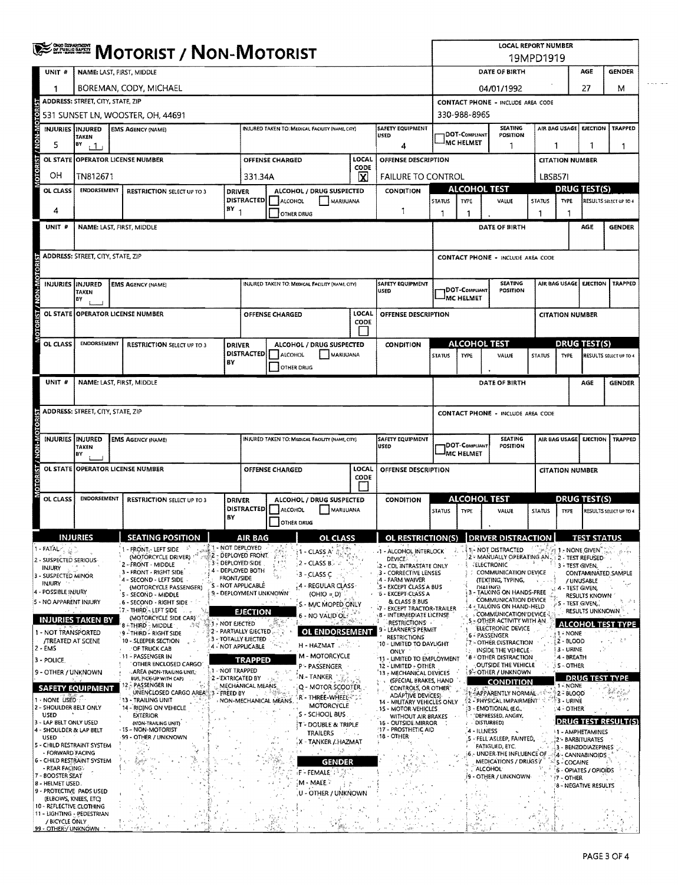|                                                   | <b>ENDING MOTORIST / NON-MOTORIST</b>                                                                                                              |                                                                                   |                                              |                                                                                           |                                                 |                                             |                                                         | <b>LOCAL REPORT NUMBER</b><br>19MPD1919                                                                       |                                                       |                                                                         |                                                             |                                    |                                                                 |                                               |                             |  |
|---------------------------------------------------|----------------------------------------------------------------------------------------------------------------------------------------------------|-----------------------------------------------------------------------------------|----------------------------------------------|-------------------------------------------------------------------------------------------|-------------------------------------------------|---------------------------------------------|---------------------------------------------------------|---------------------------------------------------------------------------------------------------------------|-------------------------------------------------------|-------------------------------------------------------------------------|-------------------------------------------------------------|------------------------------------|-----------------------------------------------------------------|-----------------------------------------------|-----------------------------|--|
| UNIT #                                            | NAME: LAST, FIRST, MIDDLE                                                                                                                          |                                                                                   |                                              |                                                                                           |                                                 |                                             |                                                         |                                                                                                               | DATE OF BIRTH<br>AGE                                  |                                                                         |                                                             |                                    |                                                                 |                                               | <b>GENDER</b>               |  |
| 1                                                 | BOREMAN, CODY, MICHAEL                                                                                                                             |                                                                                   |                                              |                                                                                           |                                                 |                                             |                                                         |                                                                                                               |                                                       | 04/01/1992                                                              |                                                             |                                    |                                                                 |                                               | M                           |  |
|                                                   | ADDRESS: STREET, CITY, STATE, ZIP                                                                                                                  |                                                                                   |                                              |                                                                                           |                                                 |                                             |                                                         |                                                                                                               |                                                       |                                                                         | 27<br><b>CONTACT PHONE - INCLUDE AREA CODE</b>              |                                    |                                                                 |                                               |                             |  |
|                                                   |                                                                                                                                                    | 531 SUNSET LN, WOOSTER, OH, 44691                                                 |                                              |                                                                                           |                                                 |                                             |                                                         |                                                                                                               |                                                       | 330-988-8965                                                            |                                                             |                                    |                                                                 |                                               |                             |  |
|                                                   | <b>SAFETY EQUIPMENT</b><br>INJURIES INJURED<br>INJURED TAKEN TO: MEDICAL FACILITY (NAME, CITY)<br><b>EMS AGENCY (NAME)</b><br>USED<br><b>TAKEN</b> |                                                                                   |                                              |                                                                                           |                                                 |                                             |                                                         |                                                                                                               |                                                       | DOT-COMPLIANT                                                           | <b>SEATING</b><br>POSITION                                  |                                    | AIR BAG USAGE                                                   | <b>EJECTION</b>                               | TRAPPED                     |  |
| 5                                                 | BY<br>$+1$<br>4                                                                                                                                    |                                                                                   |                                              |                                                                                           |                                                 |                                             |                                                         |                                                                                                               |                                                       | <b>MC HELMET</b><br>1                                                   |                                                             |                                    | 1<br>1<br>1                                                     |                                               |                             |  |
| OTORIST / NON-MOTO<br><b>OL STATE</b>             | <b>OPERATOR LICENSE NUMBER</b>                                                                                                                     |                                                                                   | OFFENSE DESCRIPTION                          |                                                                                           |                                                 |                                             | <b>CITATION NUMBER</b>                                  |                                                                                                               |                                                       |                                                                         |                                                             |                                    |                                                                 |                                               |                             |  |
| OН                                                | TN812671                                                                                                                                           |                                                                                   |                                              | CODE<br>$\overline{\mathbf{x}}$<br>331.34A                                                |                                                 |                                             |                                                         | <b>FAILURE TO CONTROL</b>                                                                                     |                                                       |                                                                         |                                                             | LBSB571                            |                                                                 |                                               |                             |  |
| <b>OL CLASS</b>                                   | ENDORSEMENT                                                                                                                                        | <b>RESTRICTION SELECT UP TO 3</b>                                                 | <b>DRIVER</b>                                | ALCOHOL / DRUG SUSPECTED<br><b>DISTRACTED</b><br><b>ALCOHOL</b><br>MARUUANA<br>OTHER DRUG |                                                 |                                             | CONDITION                                               | <b>ALCOHOL TEST</b>                                                                                           |                                                       |                                                                         | DRUG TEST(S)<br>TYPE<br>RESULTS SELECT UP TO 4              |                                    |                                                                 |                                               |                             |  |
| 4                                                 |                                                                                                                                                    |                                                                                   | $BY_1$                                       |                                                                                           |                                                 |                                             | 1                                                       | <b>STATUS</b><br>1                                                                                            | <b>TYPE</b><br>1                                      | VALUE                                                                   | STATUS<br>1                                                 | 1                                  |                                                                 |                                               |                             |  |
| UNIT #                                            |                                                                                                                                                    | NAME: LAST, FIRST, MIDDLE                                                         |                                              |                                                                                           |                                                 |                                             |                                                         |                                                                                                               |                                                       |                                                                         | DATE OF BIRTH                                               |                                    |                                                                 | AGE                                           | <b>GENDER</b>               |  |
|                                                   |                                                                                                                                                    |                                                                                   |                                              |                                                                                           |                                                 |                                             |                                                         |                                                                                                               |                                                       |                                                                         |                                                             |                                    |                                                                 |                                               |                             |  |
|                                                   | <b>ADDRESS: STREET, CITY, STATE, ZIP</b>                                                                                                           |                                                                                   |                                              |                                                                                           |                                                 |                                             |                                                         |                                                                                                               |                                                       |                                                                         | <b>CONTACT PHONE - INCLUDE AREA CODE</b>                    |                                    |                                                                 |                                               |                             |  |
|                                                   |                                                                                                                                                    |                                                                                   |                                              |                                                                                           |                                                 |                                             |                                                         |                                                                                                               |                                                       |                                                                         |                                                             |                                    |                                                                 |                                               |                             |  |
| <b>IST/NON-MOTOR</b><br>INJURIES IINJURED         | <b>TAKEN</b>                                                                                                                                       | <b>EMS AGENCY (NAME)</b>                                                          |                                              |                                                                                           | INJURED TAKEN TO: MEDICAL FACILITY (NAME, CITY) |                                             |                                                         | SAFETY EQUIPMENT<br>USED                                                                                      |                                                       | DOT-COMPLIANT                                                           | <b>SEATING</b><br>POSITION                                  |                                    | AIR BAG USAGE   EJECTION                                        |                                               | <b>TRAPPED</b>              |  |
|                                                   | BY                                                                                                                                                 |                                                                                   |                                              |                                                                                           |                                                 |                                             |                                                         |                                                                                                               |                                                       | IMC HELMET                                                              |                                                             |                                    |                                                                 |                                               |                             |  |
|                                                   |                                                                                                                                                    | OL STATE OPPERATOR LICENSE NUMBER                                                 |                                              |                                                                                           | OFFENSE CHARGED                                 |                                             | LOCAL<br>CODE                                           | OFFENSE DESCRIPTION                                                                                           |                                                       |                                                                         |                                                             |                                    | <b>CITATION NUMBER</b>                                          |                                               |                             |  |
|                                                   |                                                                                                                                                    |                                                                                   |                                              |                                                                                           |                                                 |                                             |                                                         |                                                                                                               |                                                       |                                                                         |                                                             |                                    |                                                                 |                                               |                             |  |
| <b>OL CLASS</b>                                   | <b>ENDORSEMENT</b>                                                                                                                                 | <b>RESTRICTION SELECT UP TO 3</b>                                                 | <b>DRIVER</b><br><b>DISTRACTED</b>           | ALCOHOL / DRUG SUSPECTED                                                                  |                                                 |                                             | <b>CONDITION</b>                                        | <b>ALCOHOL TEST</b>                                                                                           |                                                       |                                                                         |                                                             |                                    |                                                                 | <b>DRUG TEST(S)</b><br>RESULTS SELECT UP TO 4 |                             |  |
|                                                   |                                                                                                                                                    |                                                                                   | B٧                                           | MARIJUANA<br>ALCOHOL<br>OTHER DRUG                                                        |                                                 |                                             |                                                         | <b>STATUS</b>                                                                                                 | <b>TYPE</b>                                           | VALUE                                                                   | <b>STATUS</b>                                               | <b>TYPE</b>                        |                                                                 |                                               |                             |  |
| UNIT #                                            |                                                                                                                                                    | NAME: LAST, FIRST, MIDDLE                                                         |                                              |                                                                                           |                                                 |                                             |                                                         |                                                                                                               |                                                       |                                                                         | DATE OF BIRTH                                               |                                    |                                                                 | AGE                                           | <b>GENDER</b>               |  |
|                                                   |                                                                                                                                                    |                                                                                   |                                              |                                                                                           |                                                 |                                             |                                                         |                                                                                                               |                                                       |                                                                         |                                                             |                                    |                                                                 |                                               |                             |  |
|                                                   | ADDRESS: STREET, CITY, STATE, ZIP                                                                                                                  |                                                                                   |                                              |                                                                                           |                                                 |                                             |                                                         |                                                                                                               |                                                       |                                                                         | <b>CONTACT PHONE - INCLUDE AREA CODE</b>                    |                                    |                                                                 |                                               |                             |  |
| <b>OTORI</b>                                      |                                                                                                                                                    |                                                                                   |                                              |                                                                                           |                                                 |                                             |                                                         |                                                                                                               |                                                       |                                                                         |                                                             |                                    |                                                                 |                                               |                             |  |
| INJURIES INJURED                                  | TAKEN<br>BY                                                                                                                                        | <b>EMS AGENCY (NAME)</b><br><b>INJURED TAKEN TO: MEDICAL FACILITY (NAME CITY)</b> |                                              |                                                                                           |                                                 | <b>SAFETY EQUIPMENT</b><br>USED             |                                                         | DOT-COMPUANT<br><b>MC HELMET</b>                                                                              | <b>SEATING</b><br>POSITION                            |                                                                         | AIR BAG USAGE                                               | <b>EJECTION</b>                    | <b>TRAPPED</b>                                                  |                                               |                             |  |
| TORIST / NON-M                                    |                                                                                                                                                    | OL STATE OPPERATOR LICENSE NUMBER                                                 |                                              | <b>LOCAL</b><br><b>OFFENSE CHARGED</b><br>OFFENSE DESCRIPTION<br>CODE                     |                                                 |                                             |                                                         |                                                                                                               |                                                       |                                                                         |                                                             | <b>CITATION NUMBER</b>             |                                                                 |                                               |                             |  |
| OL CLASS                                          | <b>ENDORSEMENT</b>                                                                                                                                 | <b>RESTRICTION SELECT UP TO 3</b>                                                 | ALCOHOL / DRUG SUSPECTED<br><b>DRIVER</b>    |                                                                                           |                                                 | <b>CONDITION</b>                            |                                                         | <b>ALCOHOL TEST</b>                                                                                           |                                                       |                                                                         | <b>DRUG TEST(S)</b>                                         |                                    |                                                                 |                                               |                             |  |
|                                                   |                                                                                                                                                    |                                                                                   | <b>DISTRACTED!</b><br>BY                     |                                                                                           | ALCOHOL                                         | MARIJUANA                                   |                                                         |                                                                                                               | <b>STATUS</b>                                         | <b>TYPE</b>                                                             | VALUE                                                       | <b>STATUS</b>                      | <b>TYPE</b>                                                     |                                               | RESULTS SELECT UP TO 4      |  |
|                                                   |                                                                                                                                                    |                                                                                   |                                              |                                                                                           | OTHER DRUG                                      |                                             |                                                         |                                                                                                               |                                                       |                                                                         |                                                             |                                    |                                                                 |                                               |                             |  |
| 1 - FATAL-                                        | <b>INJURIES</b>                                                                                                                                    | <b>SEATING POSITION</b><br>ш<br>- FRONT .- LEFT SIDE                              | <b>A 1 - NOT DEPLOYED</b>                    |                                                                                           |                                                 |                                             |                                                         | <b>RESTRICTION(S)</b>                                                                                         |                                                       | lor                                                                     | 1- NOT DISTRACTED                                           | 756                                |                                                                 |                                               |                             |  |
| 2 - SUSPECTED SERIOUS                             |                                                                                                                                                    | (MOTORCYCLE DRIVER)<br>- FRONT - MIDDLE                                           | 3 - DEPLOYED SIDE                            |                                                                                           | 1 - CLASS À'<br>$2 - CLASSB$                    |                                             |                                                         | -1 - ALCOHOL INTERLOCK<br><b>DEVICE:</b>                                                                      |                                                       |                                                                         | 2 - MANUALLY OPERATING AN.<br>ELECTRONIC                    | - 9                                | <b>At 1 - None given</b><br>2 - TEST REFUSED<br>3 - TEST GIVEN, |                                               |                             |  |
| INJURY<br>3 - SUSPECTED MINOR                     |                                                                                                                                                    | 3 - FRONT - RIGHT SIDE<br>4 - SECOND - LEFT SIDE                                  | - DEPLOYED BOTH<br>FRONT/SIDE                |                                                                                           | $-3$ - CLASS C                                  |                                             |                                                         | 2 - CDL INTRASTATE ONLY<br>3 - CORRECTIVE LENSES<br>:4 - FARM WAIVER                                          |                                                       |                                                                         | <b>COMMUNICATION DEVICE</b><br>(TEXTING, TYPING,            |                                    |                                                                 |                                               | CONTAMINATED SAMPLE         |  |
| <b>INJURY</b><br>4 - POSSIBLE INJURY              |                                                                                                                                                    | (MOTORCYCLE PASSENGER)<br>5 - SECOND - MIDDLE                                     |                                              | S - NOT APPLICABLE<br>4 - REGULAR CLASS<br>9 - DEPLOYMENT UNKNOWN<br>(OHIO = D)           |                                                 |                                             |                                                         | S - EXCEPT CLASS A BUS<br><b>DIALING</b><br>3 - TALKING ON HANDS-FREE<br>6 - EXCEPT CLASS A                   |                                                       |                                                                         | / UNUSABLE<br>- TEST GIVEN,<br><b>RESULTS KNOWN</b>         |                                    |                                                                 |                                               |                             |  |
| 5 - NO APPARENT INJURY                            |                                                                                                                                                    | . 6 - SECOND - RIGHT SIDE - 11<br><b>77 - THIRD - LEFT SIDE</b>                   |                                              | S - M/C MOPED ONLY<br>EJECTION                                                            |                                                 |                                             | & CLASS B BUS<br>-7 - EXCEPT TRACTOR-TRAILER            |                                                                                                               | <b>COMMUNICATION DEVICE</b><br>- TALKING ON HAND-HELD |                                                                         |                                                             | S - TEST GIVEN,<br>RESULTS UNKNOWN |                                                                 |                                               |                             |  |
|                                                   | <b>INJURIES TAKEN BY</b>                                                                                                                           | (MOTORCYCLE SIDE CAR)<br>8-THIRD-MIDDLE<br>-34                                    | $\geq 1$ . Not ejected                       |                                                                                           |                                                 | $6 - NO$ VALID OL $\mathbb{C}^{\mathbb{C}}$ |                                                         | 8 - INTERMEDIATE LICENSE<br>RESTRICTIONS .                                                                    |                                                       |                                                                         | <b>COMMUNICATION DEVICE:</b><br>- OTHER ACTIVITY WITH AN    |                                    |                                                                 |                                               | <b>ALCOHOL TEST TYPE</b>    |  |
| 1 - NOT TRANSPORTED<br><b>/TREATED AT SCENE</b>   |                                                                                                                                                    | 9 - THIRD - RIGHT SIDE<br>10 - SLEEPER SECTION                                    | 2 - PARTIALLY EJECTED<br>3 - TOTALLY EJECTED |                                                                                           |                                                 | OL ENDORSEMENT                              |                                                         | - LEARNER'S PERMIT<br><b>RESTRICTIONS</b>                                                                     |                                                       |                                                                         | ELECTRONIC DEVICE<br>6 - PASSENGER<br>7 - OTHER DISTRACTION |                                    | 1 - NONE<br>2 - BLOOD                                           |                                               | 清洁                          |  |
| 2 - EMS                                           |                                                                                                                                                    | OF TRUCK CAB<br>11 - PASSENGER IN                                                 | 4 - NOT APPLICABLE                           |                                                                                           |                                                 | H - HAZMAT<br><b>M - MOTORCYCLE</b>         |                                                         | 10 - LIMITED TO DAYLIGHT<br><b>ONLY</b>                                                                       |                                                       |                                                                         | INSIDE THE VEHICLE.                                         |                                    | 3 - URINE<br>4 - BREATH                                         |                                               |                             |  |
| 3 - POLICE<br>9 - OTHER / UNKNOWN                 |                                                                                                                                                    | OTHER ENCLOSED CARGO<br>AREA (NON-TRAILING UNIT.                                  | 1 - NOT TRAPPED                              | TRAPPED<br>P - PASSENGER                                                                  |                                                 |                                             |                                                         | 11 - LIMITED TO EMPLOYMENT<br>12 - LIMITED - OTHER<br>13 - MECHANICAL DEVICES                                 |                                                       | <b>8 COTHER DISTRACTION</b><br>OUTSIDE THE VEHICLE<br>9-OTHER / UNKNOWN |                                                             |                                    | S - OTHER                                                       |                                               |                             |  |
|                                                   | <b>SAFETY EQUIPMENT</b>                                                                                                                            | BUS, PICK-UP WITH CAP)<br>2.5 PASSENGER IN                                        | 2 - EXTRICATED BY<br>MECHANICAL MEANS        |                                                                                           | N - TANKER                                      |                                             |                                                         | (SPECIAL BRAKES, HAND<br>CONTROLS, OR OTHER"                                                                  |                                                       |                                                                         | <b>CONDITION</b>                                            |                                    | 1 - NONE                                                        |                                               | <b>DRUG TEST TYPE</b>       |  |
| 1 - NONE USED 3                                   |                                                                                                                                                    | UNENCLOSED CARGO AREA 3 - FREED BY<br>13 - TRAILING UNIT                          |                                              | Q - MOTOR SCOOTER<br>R - THREE-WHEEL -<br>NON-MECHANICAL MEANS                            |                                                 |                                             | <b>ADAPTIVE DEVICES)</b><br>14 - MILITARY VEHICLES ONLY | 1. APPARENTLY NORMAL.<br><b>§2 - PHYSICAL IMPAIRMENT'</b>                                                     |                                                       |                                                                         | 弋.                                                          | ∳2-- BLOOD<br>$-3 - URINE$         |                                                                 |                                               |                             |  |
| 2 - SHOULDER 8ELT ONLY<br>USED                    |                                                                                                                                                    | 14 - RIDING ON VEHICLE<br><b>EXTERIOR</b>                                         |                                              |                                                                                           |                                                 | MOTORCYCLE<br>S - SCHOOL BUS                |                                                         | 3 - EMOTIONAL (E.G.,<br>15 - MOTOR VEHICLES<br>$\sqrt{4}$ - other<br>'DEPRESSED, ANGRY,<br>WITHOUT AIR BRAKES |                                                       |                                                                         |                                                             |                                    |                                                                 |                                               |                             |  |
| 3 - LAP BELT ONLY USED<br>4 - SHOULDER & LAP BELT |                                                                                                                                                    | (NON-TRAILING UNIT)<br>15 - NON-MOTORIST                                          |                                              |                                                                                           |                                                 | T - DOUBLE & TRIPLE<br>TRAILERS<br>÷.       |                                                         | 16 - OUTSIDE MIRROR<br>17 - PROSTHETIC AID                                                                    |                                                       | 4 - ILLNESS                                                             | DISTURBED)                                                  |                                    | 1 - AMPHETAMINES                                                |                                               | <b>IDRUG TEST RESULT(S)</b> |  |
| USED<br>5 - CHILD RESTRAINT SYSTEM                |                                                                                                                                                    | 99 - OTHER / UNKNOWN                                                              |                                              |                                                                                           |                                                 | X - TANKER / HAZMAT                         |                                                         | 18 - OTHER                                                                                                    |                                                       |                                                                         | 5 - FELL ASLEEP, FAINTED,<br>FATIGUED, ETC.                 |                                    | 2 - BARBITURATES<br>3 - BENZODIAZEPINES                         |                                               |                             |  |
| - FORWARD FACING<br>6 - CHILD RESTRAINT SYSTEM    |                                                                                                                                                    |                                                                                   |                                              |                                                                                           |                                                 | بالإياد<br><b>GENDER</b>                    |                                                         |                                                                                                               |                                                       |                                                                         | 6 - UNDER THE INFLUENCE OF<br>MEDICATIONS / DRUGS /         |                                    | 4- CANNA8INOIDS<br><b>5 - COCAINE</b>                           |                                               |                             |  |
| - REAR FACING:<br>7 - BOOSTER SEAT                |                                                                                                                                                    |                                                                                   |                                              |                                                                                           |                                                 | $\mathsf{F}$ - Female $\mathbb{P}^3$        |                                                         |                                                                                                               |                                                       |                                                                         | <b>ALCOHOL</b><br>- OTHER / UNKNOWN                         |                                    | 6 - OPIATES / OPIOIDS<br>†7 - OTHER                             |                                               |                             |  |
| 8 - HELMET USED .<br>9 - PROTECTIVE PADS USED     |                                                                                                                                                    |                                                                                   |                                              |                                                                                           | M - MALE -                                      | U - OTHER / UNKNOWN                         |                                                         |                                                                                                               |                                                       |                                                                         |                                                             |                                    | 8 - NEGATIVE RESULTS                                            |                                               |                             |  |
| (ELBOWS, KNEES, ETC)<br>10 - REFLECTIVE CLOTHING  |                                                                                                                                                    |                                                                                   |                                              |                                                                                           |                                                 |                                             |                                                         |                                                                                                               |                                                       |                                                                         |                                                             |                                    |                                                                 |                                               |                             |  |
| 11 - LIGHTING - PEDESTRIAN<br>/ BICYCLE ONLY      |                                                                                                                                                    |                                                                                   |                                              |                                                                                           |                                                 |                                             |                                                         |                                                                                                               |                                                       | Þ.                                                                      |                                                             |                                    |                                                                 |                                               |                             |  |
| 99 - OTHER / UNKNOWN                              |                                                                                                                                                    |                                                                                   |                                              |                                                                                           |                                                 |                                             |                                                         |                                                                                                               |                                                       | ٦.,                                                                     |                                                             |                                    |                                                                 |                                               |                             |  |

 $\bar{\varphi}$  and the  $\bar{\varphi}$